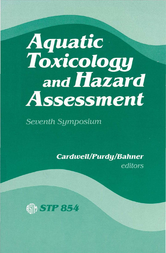## **Aquatic<br>Toxicology** and Hazard Assessment

Seventh Symposium

**Cardwell/Purdy/Bahner** editors

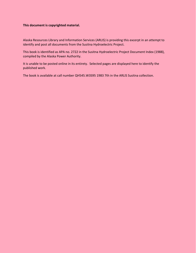## **This document is copyrighted material.**

Alaska Resources Library and Information Services (ARLIS) is providing this excerpt in an attempt to identify and post all documents from the Susitna Hydroelectric Project.

This book is identified as APA no. 2722 in the Susitna Hydroelectric Project Document Index (1988), compiled by the Alaska Power Authority.

It is unable to be posted online in its entirety. Selected pages are displayed here to identify the published work.

The book is available at call number QH545.W3S95 1983 7th in the ARLIS Susitna collection.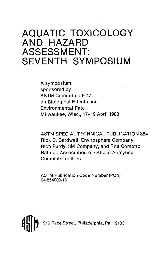## **AQUATIC TOXICOLOGY AND HAZARD ASSESSMENT: SEVENTH SYMPOSIUM**

A symposium sponsored by ASTM Committee E-47 on Biological Effects and Environmental Fate Milwaukee, Wise., 17-19 April 1983

ASTM SPECIAL TECHNICAL PUBLICATION 854 Rick D. Cardwell, Envirosphere Company, Rich Purdy, 3M Company, and Rita Comotto Bahner, Association of Official Analytical Chemists, editors

ASTM Publication Code Number (PCN) 04-854000-16

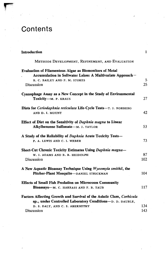## **Contents**

| Introduction                                                                                                                                                 | $\mathbf{1}$ |
|--------------------------------------------------------------------------------------------------------------------------------------------------------------|--------------|
| METHODS DEVELOPMENT, REFINEMENT, AND EVALUATION                                                                                                              |              |
| <b>Evaluation of Filamentous Algae as Biomonitors of Metal</b><br>Accumulation in Softwater Lakes: A Multivariate Approach-<br>R. C. BAILEY AND P. M. STOKES | 5            |
| Discussion                                                                                                                                                   | 25           |
| Cyanophage Assay as a New Concept in the Study of Environmental<br>Toxicity-M. P. KRAUS                                                                      | 27           |
| Diets for Ceriodaphnia reticulata Life-Cycle Tests-T. J. NORBERG<br>AND D. I. MOUNT                                                                          | 42           |
| Effect of Diet on the Sensitivity of Daphnia magna to Linear<br>Alkylbenzene Sulfonate-M. J. TAYLOR                                                          | 53           |
| A Study of the Reliability of Daphnia Acute Toxicity Tests-<br>P. A. LEWIS AND C. I. WEBER                                                                   | 73           |
| Short-Cut Chronic Toxicity Estimates Using Daphnia magna-                                                                                                    |              |
| W. J. ADAMS AND B. B. HEIDOLPH                                                                                                                               | 87           |
| Discussion                                                                                                                                                   | 102          |
| A New Aquatic Bioassay Technique Using Wyeomyia smithii, the<br>Pitcher-Plant Mosquito-DANIEL STRICKMAN                                                      | 104          |
| <b>Effects of Small Fish Predation on Microcosm Community</b>                                                                                                |              |
| Bioassays-M. C. HARRASS AND F. B. TAUB                                                                                                                       | 117          |
| Factors Affecting Growth and Survival of the Asiatic Clam, Corbicula<br>sp., under Controlled Laboratory Conditions-D. D. DAUBLE,                            |              |
| D. S. DALY, AND C. S. ABERNETHY                                                                                                                              | 134          |
| Discussion                                                                                                                                                   | 143          |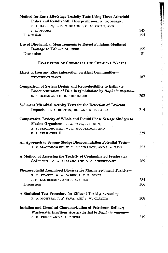| Method for Early Life-Stage Toxicity Tests Using Three Atherinid                                                                |     |
|---------------------------------------------------------------------------------------------------------------------------------|-----|
| Fishes and Results with Chlorpyrifos-L. R. GOODMAN,<br>D. J. HANSEN, D. P. MIDDAUGH, G. M. CRIPE, AND                           |     |
| J. C. MOORE                                                                                                                     | 145 |
| Discussion                                                                                                                      | 154 |
|                                                                                                                                 |     |
| Use of Biochemical Measurements to Detect Pollutant-Mediated                                                                    |     |
| Damage to Fish-J. M. NEFF                                                                                                       | 155 |
| Discussion                                                                                                                      | 181 |
| EVALUATION OF CHEMICALS AND CHEMICAL WASTES                                                                                     |     |
| Effect of Iron and Zinc Interaction on Algal Communities-                                                                       |     |
| <b>WUNCHENG WANG</b>                                                                                                            | 187 |
|                                                                                                                                 |     |
| <b>Comparison of System Design and Reproducibility to Estimate</b><br>Bioconcentration of Di-n-hexylphthalate by Daphnia magna- |     |
| S. P. GLOSS AND G. R. BIDDINGER                                                                                                 | 202 |
|                                                                                                                                 |     |
| Sediment Microbial Activity Tests for the Detection of Toxicant                                                                 |     |
| Impacts-G. A. BURTON, JR., AND G. R. LANZA                                                                                      | 214 |
| Comparative Toxicity of Whole and Liquid Phase Sewage Sludges to<br>Marine Organisms-J. A. FAVA, J. J. GIFT,                    |     |
| A. F. MACIOROWSKI, W. L. MCCULLOCH, AND                                                                                         |     |
|                                                                                                                                 |     |
| H. J. REISINGER II                                                                                                              | 229 |
|                                                                                                                                 |     |
| An Approach to Sewage Sludge Bioaccumulation Potential Tests-                                                                   |     |
| A. F. MACIOROWSKI, W. L. MCCULLOCH, AND J. A. FAVA                                                                              | 253 |
|                                                                                                                                 |     |
| A Method of Assessing the Toxicity of Contaminated Freshwater                                                                   |     |
| Sediments—G. A. LEBLANC AND D. C. SURPRENANT                                                                                    | 269 |
|                                                                                                                                 |     |
| Phoxocephalid Amphipod Bioassay for Marine Sediment Toxicity-<br>R. C. SWARTZ, W. A. DEBEN, J. K. P. JONES,                     |     |
| J. O. LAMBERSON, AND F. A. COLE                                                                                                 | 284 |
| Discussion                                                                                                                      | 306 |
|                                                                                                                                 |     |
| A Statistical Test Procedure for Effluent Toxicity Screening-                                                                   |     |
| P. D. MOWERY, J. A. FAVA, AND L. W. CLAFLIN                                                                                     | 308 |
|                                                                                                                                 |     |
| <b>Isolation and Chemical Characterization of Petroleum Refinery</b>                                                            |     |
| Wastewater Fractions Acutely Lethal to Daphnia magna-<br>C. H. REECE AND S. L. BURKS                                            | 319 |

 $\label{eq:2} \frac{1}{\sqrt{2}}\sum_{i=1}^n\frac{1}{\sqrt{2}}\sum_{j=1}^n\frac{1}{j!}\sum_{j=1}^n\frac{1}{j!}\sum_{j=1}^n\frac{1}{j!}\sum_{j=1}^n\frac{1}{j!}\sum_{j=1}^n\frac{1}{j!}\sum_{j=1}^n\frac{1}{j!}\sum_{j=1}^n\frac{1}{j!}\sum_{j=1}^n\frac{1}{j!}\sum_{j=1}^n\frac{1}{j!}\sum_{j=1}^n\frac{1}{j!}\sum_{j=1}^n\frac{1}{j!}\sum_{j=1}^$ 

 $\frac{1}{2}$ 

こんじゅう かんきゅう ほうせいしょう インド・マーク

医小头皮 医牙间的 医

 $\ddot{\phantom{0}}$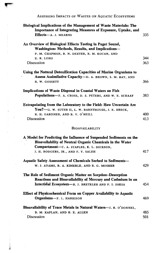ASSESSING IMPACTS OF WASTES ON AQUATIC ECOSYSTEMS

| Biological Implications of the Management of Waste Materials: The<br>Importance of Integrating Measures of Exposure, Uptake, and |            |
|----------------------------------------------------------------------------------------------------------------------------------|------------|
| Effects-A. J. MEARNS                                                                                                             | 335        |
| An Overview of Biological Effects Testing in Puget Sound,<br>Washington: Methods, Results, and Implications-                     |            |
| P. M. CHAPMAN, R. N. DEXTER, R. M. KOCAN, AND                                                                                    |            |
| E. R. LONG                                                                                                                       | 344        |
| Discussion                                                                                                                       | 363        |
| Using the Natural Detoxification Capacities of Marine Organisms to<br>Assess Assimilative Capacity-D. A. BROWN, S. M. BAY, AND   |            |
| R. W. GOSSETT                                                                                                                    | 366        |
| Implications of Waste Disposal in Coastal Waters on Fish                                                                         |            |
| Populations-F. A. CROSS, D. S. PETERS, AND W. E. SCHAAF                                                                          | 383        |
| Extrapolating from the Laboratory to the Field: How Uncertain Are<br>You?-G. W. SUTER II, L. W. BARNTHOUSE, J. E. BRECK,         |            |
| R. H. GARDNER, AND R. V. O'NEILL<br>Discussion                                                                                   | 400<br>413 |
|                                                                                                                                  |            |
| <b>BIOAVAILABILITY</b>                                                                                                           |            |
| A Model for Predicting the Influence of Suspended Sediments on the<br>Bioavailability of Neutral Organic Chemicals in the Water  |            |
| Compartment-C. A. STAPLES, K. L. DICKSON,                                                                                        |            |
| J. H. RODGERS, JR., AND F. Y. SALEH                                                                                              | 417        |
| <b>Aquatic Safety Assessment of Chemicals Sorbed to Sediments-</b>                                                               |            |
| W. J. ADAMS, R. A. KIMERLE, AND R. G. MOSHER                                                                                     | 429        |
| The Role of Sediment Organic Matter on Sorption-Desorption<br>Reactions and Bioavailability of Mercury and Cadmium in an         |            |
| Intertidal Ecosystem-R. J. BRETELER AND F. I. SAKSA                                                                              | 454        |
| Effect of Physicochemical Form on Copper Availability to Aquatic                                                                 |            |
| Organisms-F. L. HARRISON                                                                                                         | 469        |
| Bioavailability of Trace Metals in Natural Waters-J. R. O'DONNEL,                                                                |            |
| B. M. KAPLAN, AND H. E. ALLEN                                                                                                    | 485        |
| Discussion                                                                                                                       | 501        |

ä